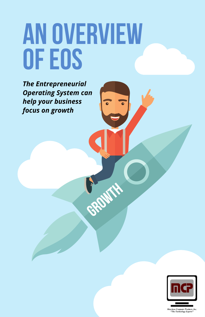# **AN OVERVIEW OF EOS**

**CROWTH** 

*The Entrepreneurial Operating System can help your business focus on growth*



chese Computer Products, I<mark>r</mark><br>"The Technology Experts"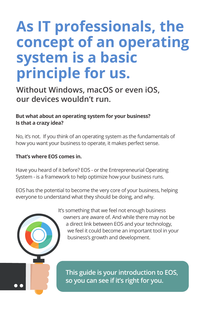### **As IT professionals, the concept of an operating system is a basic principle for us.**

**Without Windows, macOS or even iOS, our devices wouldn't run.**

#### **But what about an operating system for your business? Is that a crazy idea?**

No, it's not. If you think of an operating system as the fundamentals of how you want your business to operate, it makes perfect sense.

#### **That's where EOS comes in.**

Have you heard of it before? EOS - or the Entrepreneurial Operating System - is a framework to help optimize how your business runs.

EOS has the potential to become the very core of your business, helping everyone to understand what they should be doing, and why.

> It's something that we feel not enough business owners are aware of. And while there may not be a direct link between EOS and your technology, we feel it could become an important tool in your business's growth and development.

**This guide is your introduction to EOS, so you can see if it's right for you.**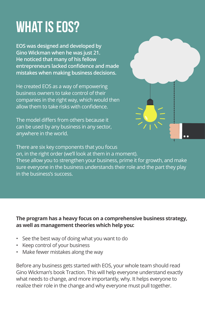## **What is EOS?**

**EOS was designed and developed by Gino Wickman when he was just 21. He noticed that many of his fellow entrepreneurs lacked confidence and made mistakes when making business decisions.**

He created EOS as a way of empowering business owners to take control of their companies in the right way, which would then allow them to take risks with confidence.

The model differs from others because it can be used by any business in any sector, anywhere in the world.



There are six key components that you focus on, in the right order (we'll look at them in a moment). These allow you to strengthen your business, prime it for growth, and make sure everyone in the business understands their role and the part they play in the business's success.

#### **The program has a heavy focus on a comprehensive business strategy, as well as management theories which help you:**

- See the best way of doing what you want to do
- Keep control of your business
- Make fewer mistakes along the way

Before any business gets started with EOS, your whole team should read Gino Wickman's book Traction. This will help everyone understand exactly what needs to change, and more importantly, why. It helps everyone to realize their role in the change and why everyone must pull together.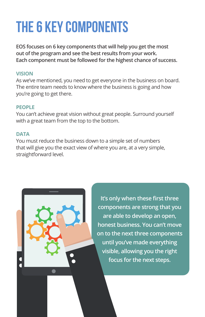# **The 6 key components**

**EOS focuses on 6 key components that will help you get the most out of the program and see the best results from your work. Each component must be followed for the highest chance of success.**

#### **VISION**

As we've mentioned, you need to get everyone in the business on board. The entire team needs to know where the business is going and how you're going to get there.

#### **PEOPLE**

You can't achieve great vision without great people. Surround yourself with a great team from the top to the bottom.

#### **DATA**

You must reduce the business down to a simple set of numbers that will give you the exact view of where you are, at a very simple, straightforward level.



**It's only when these first three components are strong that you are able to develop an open, honest business. You can't move on to the next three components until you've made everything visible, allowing you the right focus for the next steps.**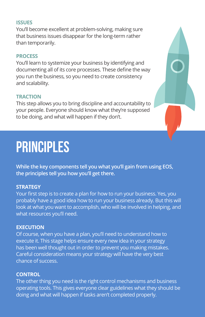#### **ISSUES**

You'll become excellent at problem-solving, making sure that business issues disappear for the long-term rather than temporarily.

#### **PROCESS**

You'll learn to systemize your business by identifying and documenting all of its core processes. These define the way you run the business, so you need to create consistency and scalability.

#### **TRACTION**

This step allows you to bring discipline and accountability to your people. Everyone should know what they're supposed to be doing, and what will happen if they don't.

### **Principles**

**While the key components tell you what you'll gain from using EOS, the principles tell you how you'll get there.** 

#### **STRATEGY**

Your first step is to create a plan for how to run your business. Yes, you probably have a good idea how to run your business already. But this will look at what you want to accomplish, who will be involved in helping, and what resources you'll need.

#### **EXECUTION**

Of course, when you have a plan, you'll need to understand how to execute it. This stage helps ensure every new idea in your strategy has been well thought out in order to prevent you making mistakes. Careful consideration means your strategy will have the very best chance of success.

#### **CONTROL**

The other thing you need is the right control mechanisms and business operating tools. This gives everyone clear guidelines what they should be doing and what will happen if tasks aren't completed properly.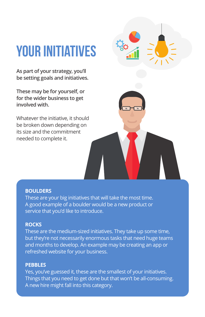# **Your initiatives**

**As part of your strategy, you'll be setting goals and initiatives.** 

**These may be for yourself, or for the wider business to get involved with.**

Whatever the initiative, it should be broken down depending on its size and the commitment needed to complete it.

#### **BOULDERS**

These are your big initiatives that will take the most time. A good example of a boulder would be a new product or service that you'd like to introduce.

#### **ROCKS**

These are the medium-sized initiatives. They take up some time, but they're not necessarily enormous tasks that need huge teams and months to develop. An example may be creating an app or refreshed website for your business.

#### **PEBBLES**

Yes, you've guessed it, these are the smallest of your initiatives. Things that you need to get done but that won't be all-consuming. A new hire might fall into this category.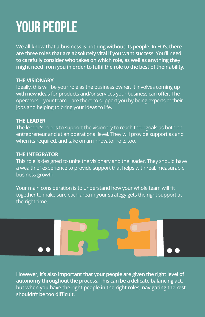## **Your people**

**We all know that a business is nothing without its people. In EOS, there are three roles that are absolutely vital if you want success. You'll need to carefully consider who takes on which role, as well as anything they might need from you in order to fulfil the role to the best of their ability.**

#### **THE VISIONARY**

Ideally, this will be your role as the business owner. It involves coming up with new ideas for products and/or services your business can offer. The operators – your team – are there to support you by being experts at their jobs and helping to bring your ideas to life.

#### **THE LEADER**

The leader's role is to support the visionary to reach their goals as both an entrepreneur and at an operational level. They will provide support as and when its required, and take on an innovator role, too.

#### **THE INTEGRATOR**

This role is designed to unite the visionary and the leader. They should have a wealth of experience to provide support that helps with real, measurable business growth.

Your main consideration is to understand how your whole team will fit together to make sure each area in your strategy gets the right support at the right time.

**However, it's also important that your people are given the right level of autonomy throughout the process. This can be a delicate balancing act, but when you have the right people in the right roles, navigating the rest shouldn't be too difficult.**